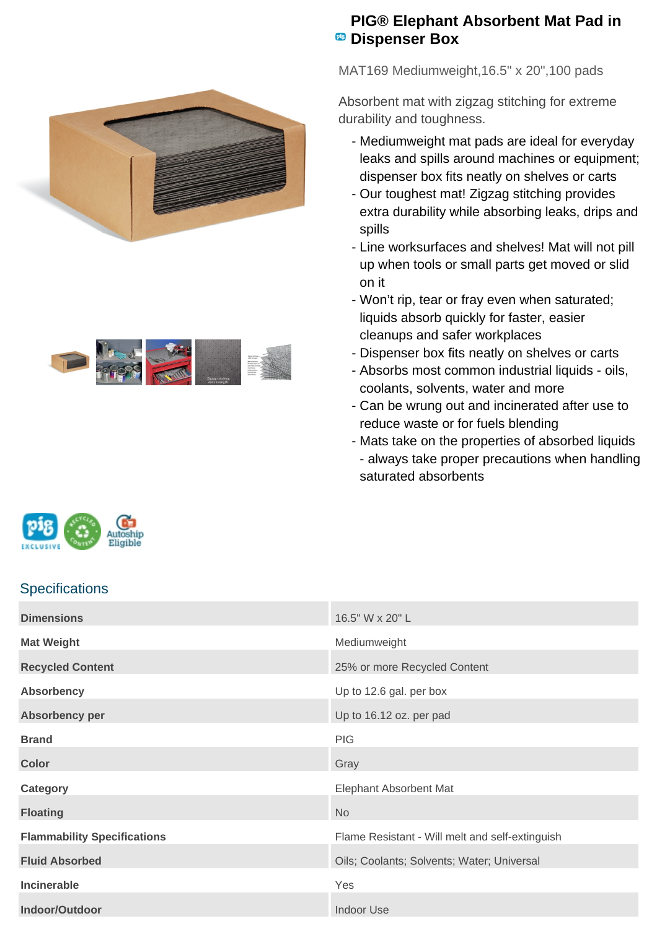



## **PIG® Elephant Absorbent Mat Pad in PB** Dispenser Box

MAT169 Mediumweight,16.5" x 20",100 pads

Absorbent mat with zigzag stitching for extreme durability and toughness.

- Mediumweight mat pads are ideal for everyday leaks and spills around machines or equipment; dispenser box fits neatly on shelves or carts
- Our toughest mat! Zigzag stitching provides extra durability while absorbing leaks, drips and spills
- Line worksurfaces and shelves! Mat will not pill up when tools or small parts get moved or slid on it
- Won't rip, tear or fray even when saturated; liquids absorb quickly for faster, easier cleanups and safer workplaces
- Dispenser box fits neatly on shelves or carts
- Absorbs most common industrial liquids oils, coolants, solvents, water and more
- Can be wrung out and incinerated after use to reduce waste or for fuels blending
- Mats take on the properties of absorbed liquids - always take proper precautions when handling saturated absorbents

| milesile"<br><b>EXCLUSIVE</b> |  |  |  |  |
|-------------------------------|--|--|--|--|
|-------------------------------|--|--|--|--|

## **Specifications**

| <b>Dimensions</b>                  | 16.5" W x 20" L                                 |
|------------------------------------|-------------------------------------------------|
| <b>Mat Weight</b>                  | Mediumweight                                    |
| <b>Recycled Content</b>            | 25% or more Recycled Content                    |
| <b>Absorbency</b>                  | Up to 12.6 gal. per box                         |
| Absorbency per                     | Up to 16.12 oz. per pad                         |
| <b>Brand</b>                       | <b>PIG</b>                                      |
| <b>Color</b>                       | Gray                                            |
| Category                           | <b>Elephant Absorbent Mat</b>                   |
| <b>Floating</b>                    | <b>No</b>                                       |
| <b>Flammability Specifications</b> | Flame Resistant - Will melt and self-extinguish |
| <b>Fluid Absorbed</b>              | Oils; Coolants; Solvents; Water; Universal      |
| <b>Incinerable</b>                 | Yes                                             |
| Indoor/Outdoor                     | <b>Indoor Use</b>                               |